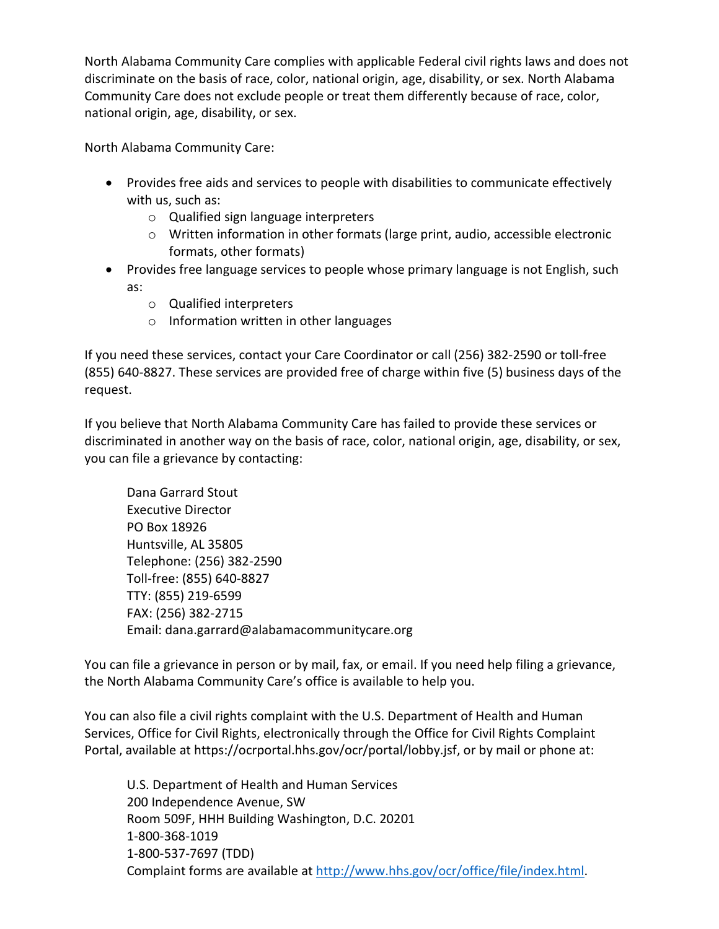North Alabama Community Care complies with applicable Federal civil rights laws and does not discriminate on the basis of race, color, national origin, age, disability, or sex. North Alabama Community Care does not exclude people or treat them differently because of race, color, national origin, age, disability, or sex.

North Alabama Community Care:

- Provides free aids and services to people with disabilities to communicate effectively with us, such as:
	- o Qualified sign language interpreters
	- $\circ$  Written information in other formats (large print, audio, accessible electronic formats, other formats)
- Provides free language services to people whose primary language is not English, such as:
	- o Qualified interpreters
	- o Information written in other languages

If you need these services, contact your Care Coordinator or call (256) 382-2590 or toll-free (855) 640-8827. These services are provided free of charge within five (5) business days of the request.

If you believe that North Alabama Community Care has failed to provide these services or discriminated in another way on the basis of race, color, national origin, age, disability, or sex, you can file a grievance by contacting:

Dana Garrard Stout Executive Director PO Box 18926 Huntsville, AL 35805 Telephone: (256) 382-2590 Toll-free: (855) 640-8827 TTY: (855) 219-6599 FAX: (256) 382-2715 Email: dana.garrard@alabamacommunitycare.org

You can file a grievance in person or by mail, fax, or email. If you need help filing a grievance, the North Alabama Community Care's office is available to help you.

You can also file a civil rights complaint with the U.S. Department of Health and Human Services, Office for Civil Rights, electronically through the Office for Civil Rights Complaint Portal, available at https://ocrportal.hhs.gov/ocr/portal/lobby.jsf, or by mail or phone at:

U.S. Department of Health and Human Services 200 Independence Avenue, SW Room 509F, HHH Building Washington, D.C. 20201 1-800-368-1019 1-800-537-7697 (TDD) Complaint forms are available at [http://www.hhs.gov/ocr/office/file/index.html.](http://www.hhs.gov/ocr/office/file/index.html)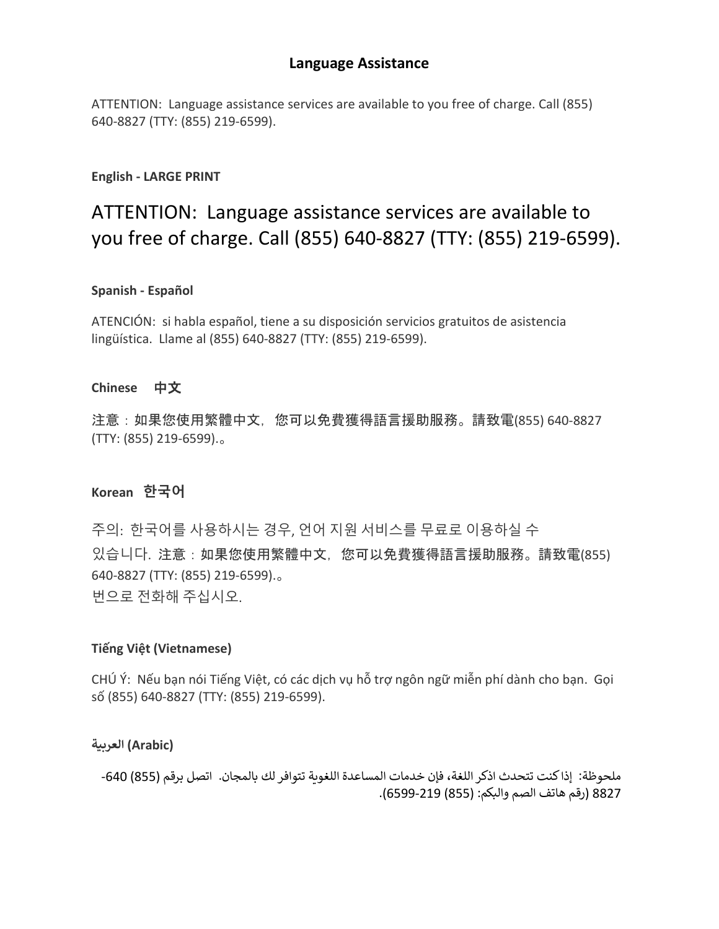# **Language Assistance**

ATTENTION: Language assistance services are available to you free of charge. Call (855) 640-8827 (TTY: (855) 219-6599).

#### **English - LARGE PRINT**

# ATTENTION: Language assistance services are available to you free of charge. Call (855) 640-8827 (TTY: (855) 219-6599).

#### **Spanish - Español**

ATENCIÓN: si habla español, tiene a su disposición servicios gratuitos de asistencia lingüística. Llame al (855) 640-8827 (TTY: (855) 219-6599).

#### **Chinese** 中文

注意:如果您使用繁體中文,您可以免費獲得語言援助服務。請致電(855) 640-8827 (TTY: (855) 219-6599).。

#### **Korean 한국어**

주의: 한국어를 사용하시는 경우, 언어 지원 서비스를 무료로 이용하실 수 있습니다. 注意:如果您使用繁體中文,您可以免費獲得語言援助服務。請致電(855) 640-8827 (TTY: (855) 219-6599).。 번으로 전화해 주십시오.

#### **Tiếng Việt (Vietnamese)**

CHÚ Ý: Nếu bạn nói Tiếng Việt, có các dịch vụ hỗ trợ ngôn ngữ miễn phí dành cho bạn. Gọi số (855) 640-8827 (TTY: (855) 219-6599).

#### **(Arabic (الع���ة**

ملحوظة: إذا كنت تتحدث اذكر اللغة، فإن خدمات المساعدة اللغوية تتوافر لك بالمجان. اتصل برقم (855) 640-8827 (رقم هاتف الصم والبكم: (855) -219 6599).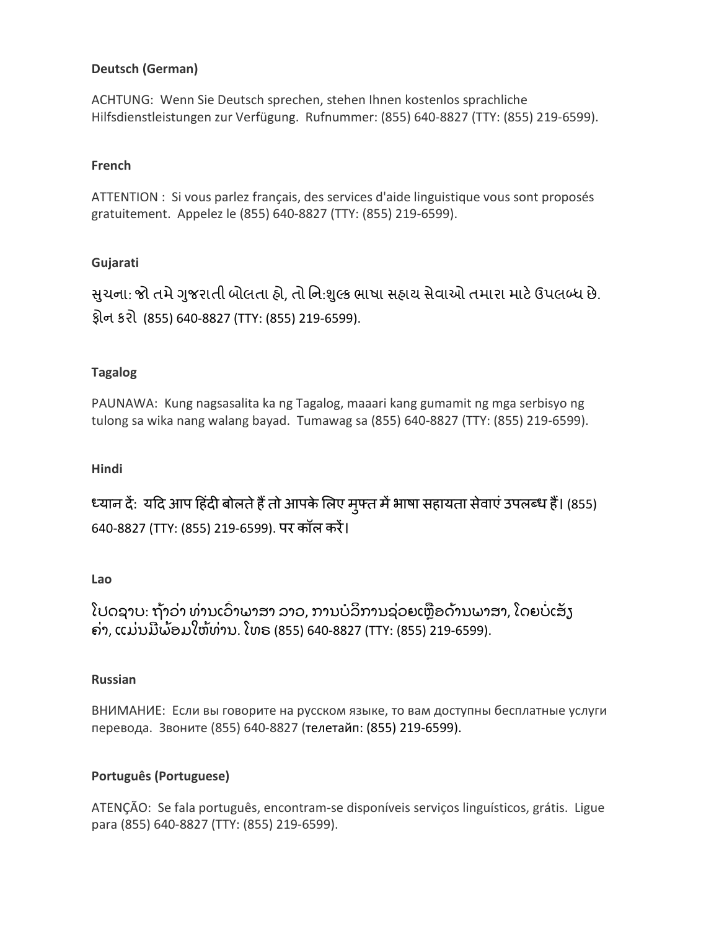# **Deutsch (German)**

ACHTUNG: Wenn Sie Deutsch sprechen, stehen Ihnen kostenlos sprachliche Hilfsdienstleistungen zur Verfügung. Rufnummer: (855) 640-8827 (TTY: (855) 219-6599).

#### **French**

ATTENTION : Si vous parlez français, des services d'aide linguistique vous sont proposés gratuitement. Appelez le (855) 640-8827 (TTY: (855) 219-6599).

# **Gujarati**

સુચના: જો તમે ગુજરાતી બોલતા હો, તો નિ:શુલ્ક ભાષા સહાય સેવાઓ તમારા માટે ઉપલબ્ધ છે. ફોન કરો (855) 640-8827 (TTY: (855) 219-6599).

# **Tagalog**

PAUNAWA: Kung nagsasalita ka ng Tagalog, maaari kang gumamit ng mga serbisyo ng tulong sa wika nang walang bayad. Tumawag sa (855) 640-8827 (TTY: (855) 219-6599).

# **Hindi**

ध्यान दे: यदि आप हिंदी बोलते है तो आपके लिए मुफ्त मे भाषा सहायता सेवाए उपलब्ध है। (855) 640-8827 (TTY: (855) 219-6599). पर कॉल करें।

# **Lao**

ໂປດຊາບ: ຖ້າວ່າ ທ່ານເວົາພາສາ ລາວ, ການບໍລິການຊ່ວຍເຫຼືອດ້ານພາສາ, ໂດຍບໍເສັງ ຄ່າ, ແມ່ນມີພ້ອມໃຫ້ທ່ານ. ໂທຣ (855) 640-8827 (TTY: (855) 219-6599).

#### **Russian**

ВНИМАНИЕ: Если вы говорите на русском языке, то вам доступны бесплатные услуги перевода. Звоните (855) 640-8827 (телетайп: (855) 219-6599).

# **Português (Portuguese)**

ATENÇÃO: Se fala português, encontram-se disponíveis serviços linguísticos, grátis. Ligue para (855) 640-8827 (TTY: (855) 219-6599).